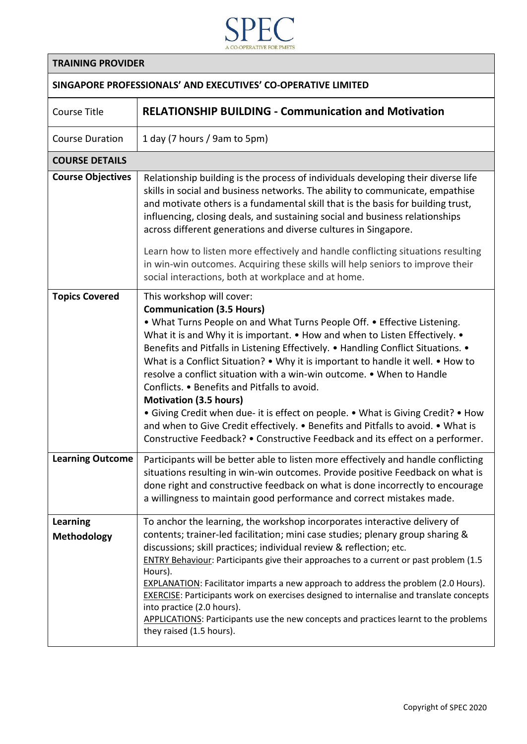

## **TRAINING PROVIDER**

## **SINGAPORE PROFESSIONALS' AND EXECUTIVES' CO-OPERATIVE LIMITED**

| <b>Course Title</b>            | <b>RELATIONSHIP BUILDING - Communication and Motivation</b>                                                                                                                                                                                                                                                                                                                                                                                                                                                                                                                                                                                                                                                                                                                                                         |
|--------------------------------|---------------------------------------------------------------------------------------------------------------------------------------------------------------------------------------------------------------------------------------------------------------------------------------------------------------------------------------------------------------------------------------------------------------------------------------------------------------------------------------------------------------------------------------------------------------------------------------------------------------------------------------------------------------------------------------------------------------------------------------------------------------------------------------------------------------------|
| <b>Course Duration</b>         | 1 day (7 hours / 9am to 5pm)                                                                                                                                                                                                                                                                                                                                                                                                                                                                                                                                                                                                                                                                                                                                                                                        |
| <b>COURSE DETAILS</b>          |                                                                                                                                                                                                                                                                                                                                                                                                                                                                                                                                                                                                                                                                                                                                                                                                                     |
| <b>Course Objectives</b>       | Relationship building is the process of individuals developing their diverse life<br>skills in social and business networks. The ability to communicate, empathise<br>and motivate others is a fundamental skill that is the basis for building trust,<br>influencing, closing deals, and sustaining social and business relationships<br>across different generations and diverse cultures in Singapore.                                                                                                                                                                                                                                                                                                                                                                                                           |
|                                | Learn how to listen more effectively and handle conflicting situations resulting<br>in win-win outcomes. Acquiring these skills will help seniors to improve their<br>social interactions, both at workplace and at home.                                                                                                                                                                                                                                                                                                                                                                                                                                                                                                                                                                                           |
| <b>Topics Covered</b>          | This workshop will cover:<br><b>Communication (3.5 Hours)</b><br>. What Turns People on and What Turns People Off. . Effective Listening.<br>What it is and Why it is important. • How and when to Listen Effectively. •<br>Benefits and Pitfalls in Listening Effectively. • Handling Conflict Situations. •<br>What is a Conflict Situation? • Why it is important to handle it well. • How to<br>resolve a conflict situation with a win-win outcome. • When to Handle<br>Conflicts. • Benefits and Pitfalls to avoid.<br><b>Motivation (3.5 hours)</b><br>• Giving Credit when due- it is effect on people. • What is Giving Credit? • How<br>and when to Give Credit effectively. . Benefits and Pitfalls to avoid. . What is<br>Constructive Feedback? • Constructive Feedback and its effect on a performer. |
| <b>Learning Outcome</b>        | Participants will be better able to listen more effectively and handle conflicting<br>situations resulting in win-win outcomes. Provide positive Feedback on what is<br>done right and constructive feedback on what is done incorrectly to encourage<br>a willingness to maintain good performance and correct mistakes made.                                                                                                                                                                                                                                                                                                                                                                                                                                                                                      |
| Learning<br><b>Methodology</b> | To anchor the learning, the workshop incorporates interactive delivery of<br>contents; trainer-led facilitation; mini case studies; plenary group sharing &<br>discussions; skill practices; individual review & reflection; etc.<br><b>ENTRY Behaviour:</b> Participants give their approaches to a current or past problem (1.5<br>Hours).<br><b>EXPLANATION:</b> Facilitator imparts a new approach to address the problem (2.0 Hours).<br><b>EXERCISE:</b> Participants work on exercises designed to internalise and translate concepts<br>into practice (2.0 hours).<br>APPLICATIONS: Participants use the new concepts and practices learnt to the problems<br>they raised (1.5 hours).                                                                                                                      |